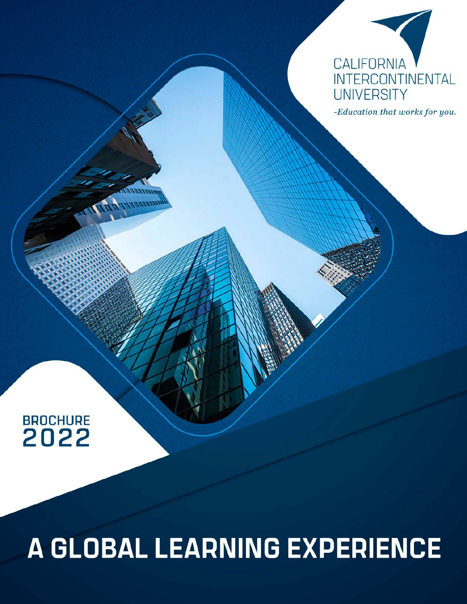

-Education that works for you.

# BROCHURE<br>2022

# A GLOBAL LEARNING EXPERIENCE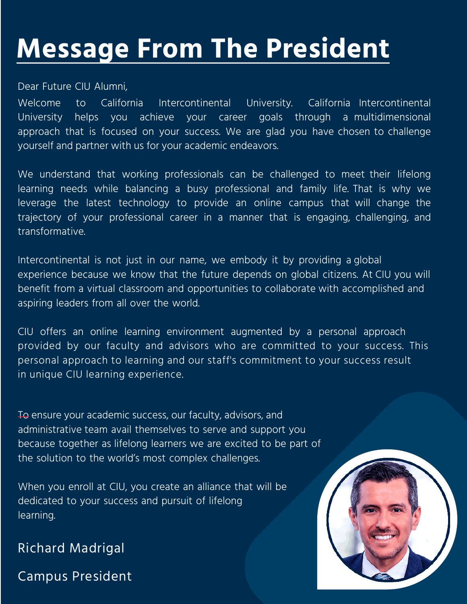# **Message From The President**

#### Dear Future CIU Alumni,

Welcome to California Intercontinental University. California Intercontinental University helps you achieve your career goals through a multidimensional approach that is focused on your success. We are glad you have chosen to challenge yourself and partner with us for your academic endeavors.

We understand that working professionals can be challenged to meet their lifelong learning needs while balancing a busy professional and family life. That is why we leverage the latest technology to provide an online campus that will change the trajectory of your professional career in a manner that is engaging, challenging, and transformative.

Intercontinental is not just in our name, we embody it by providing a global experience because we know that the future depends on global citizens. At CIU you will benefit from a virtual classroom and opportunities to collaborate with accomplished and aspiring leaders from all over the world.

CIU offers an online learning environment augmented by a personal approach provided by our faculty and advisors who are committed to your success. This personal approach to learning and our staff's commitment to your success result in unique CIU learning experience.

To ensure your academic success, our faculty, advisors, and administrative team avail themselves to serve and support you because together as lifelong learners we are excited to be part of the solution to the world's most complex challenges.

When you enroll at CIU, you create an alliance that will be dedicated to your success and pursuit of lifelong learning.

#### Richard Madrigal

Campus President

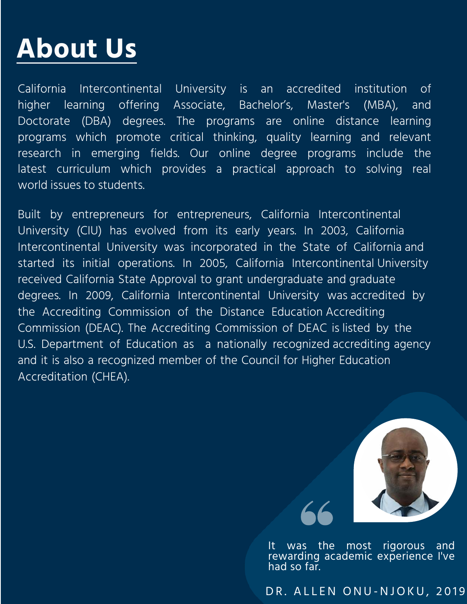#### **About Us**

California Intercontinental University is an accredited institution of higher learning offering Associate, Bachelor's, Master's (MBA), and Doctorate (DBA) degrees. The programs are online distance learning programs which promote critical thinking, quality learning and relevant research in emerging fields. Our online degree programs include the latest curriculum which provides a practical approach to solving real world issues to students.

Built by entrepreneurs for entrepreneurs, California Intercontinental University (CIU) has evolved from its early years. In 2003, California Intercontinental University was incorporated in the State of California and started its initial operations. In 2005, California Intercontinental University received California State Approval to grant undergraduate and graduate degrees. In 2009, California Intercontinental University was accredited by the Accrediting Commission of the Distance Education Accrediting Commission (DEAC). The Accrediting Commission of DEAC is listed by the U.S. Department of Education as a nationally recognized accrediting agency and it is also a recognized member of the Council for Higher Education Accreditation (CHEA).



It was the most rigorous and rewarding academic experience I've had so far.

DR. ALLEN ONU-NJOKU, 2019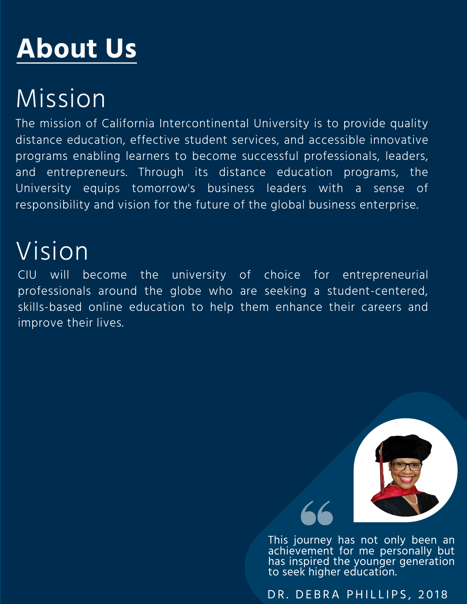# **About Us**

# Mission

The mission of California Intercontinental University is to provide quality distance education, effective student services, and accessible innovative programs enabling learners to become successful professionals, leaders, and entrepreneurs. Through its distance education programs, the University equips tomorrow's business leaders with a sense of responsibility and vision for the future of the global business enterprise.

#### Vision

CIU will become the university of choice for entrepreneurial professionals around the globe who are seeking a student-centered, skills-based online education to help them enhance their careers and improve their lives.



This journey has not only been an achievement for me personally but has inspired the younger generation to seek higher education.

DR. DEBRA PHILLIPS, 2018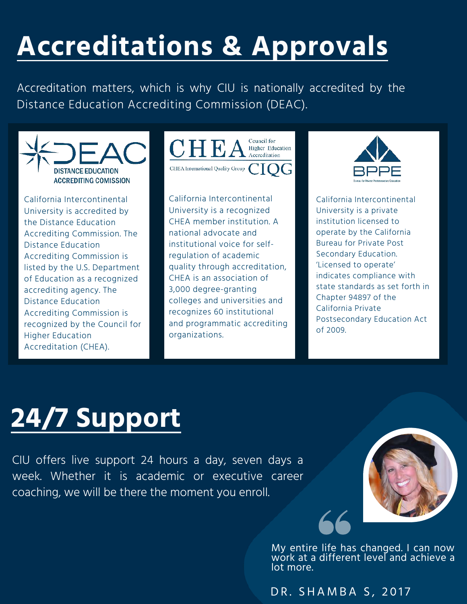# **Accreditations & Approvals**

Accreditation matters, which is why CIU is nationally accredited by the Distance Education Accrediting Commission (DEAC).



California Intercontinental University is accredited by the Distance Education Accrediting Commission. The Distance Education Accrediting Commission is listed by the U.S. Department of Education as a recognized accrediting agency. The Distance Education Accrediting Commission is recognized by the Council for Higher Education Accreditation (CHEA).



California Intercontinental University is a recognized CHEA member institution. A national advocate and institutional voice for selfregulation of academic quality through accreditation, CHEA is an association of 3,000 degree-granting colleges and universities and recognizes 60 institutional and programmatic accrediting organizations.



California Intercontinental University is a private institution licensed to operate by the California Bureau for Private Post Secondary Education. 'Licensed to operate' indicates compliance with state standards as set forth in Chapter 94897 of the California Private Postsecondary Education Act of 2009.

## **24/7 Support**

CIU offers live support 24 hours a day, seven days a week. Whether it is academic or executive career coaching, we will be there the moment you enroll.



My entire life has changed. I can now work at a different level and achieve a lot more.

DR. SHAMBA S, 2017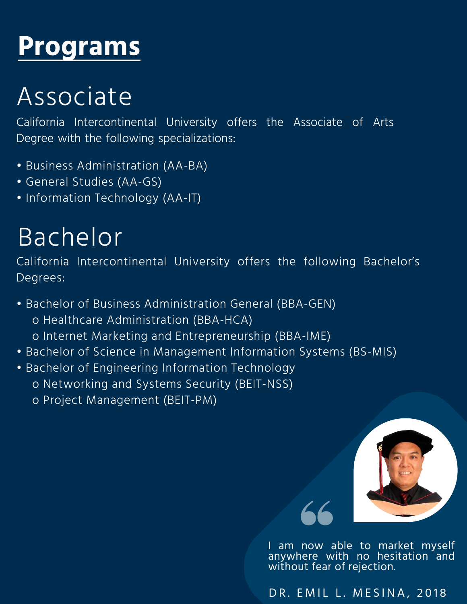#### **Programs**

# Associate

California Intercontinental University offers the Associate of Arts Degree with the following specializations:

- Business Administration (AA-BA)
- General Studies (AA-GS)
- Information Technology (AA-IT)

# Bachelor

California Intercontinental University offers the following Bachelor's Degrees:

- Bachelor of Business Administration General (BBA-GEN) o Healthcare Administration (BBA-HCA)
	- o Internet Marketing and Entrepreneurship (BBA-IME)
- Bachelor of Science in Management Information Systems (BS-MIS)
- Bachelor of Engineering Information Technology
	- o Networking and Systems Security (BEIT-NSS)
	- o Project Management (BEIT-PM)



I am now able to market myself anywhere with no hesitation and without fear of rejection.

DR. EMIL L. MESINA, 2018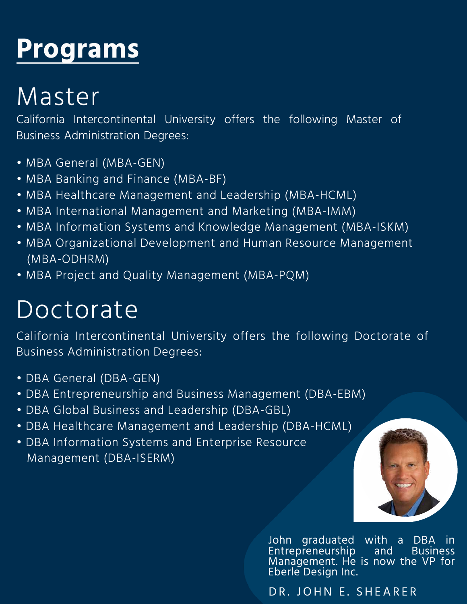#### **Programs**

#### Master

California Intercontinental University offers the following Master of Business Administration Degrees:

- MBA General (MBA-GEN)
- MBA Banking and Finance (MBA-BF)
- MBA Healthcare Management and Leadership (MBA-HCML)
- MBA International Management and Marketing (MBA-IMM)
- MBA Information Systems and Knowledge Management (MBA-ISKM)
- MBA Organizational Development and Human Resource Management (MBA-ODHRM)
- MBA Project and Quality Management (MBA-PQM)

#### Doctorate

California Intercontinental University offers the following Doctorate of Business Administration Degrees:

- DBA General (DBA-GEN)
- DBA Entrepreneurship and Business Management (DBA-EBM)
- DBA Global Business and Leadership (DBA-GBL)
- DBA Healthcare Management and Leadership (DBA-HCML)
- DBA Information Systems and Enterprise Resource Management (DBA-ISERM)



John graduated with a DBA in Entrepreneurship Management. He is now the VP for Eberle Design Inc.

DR. JOHN E. SHEARER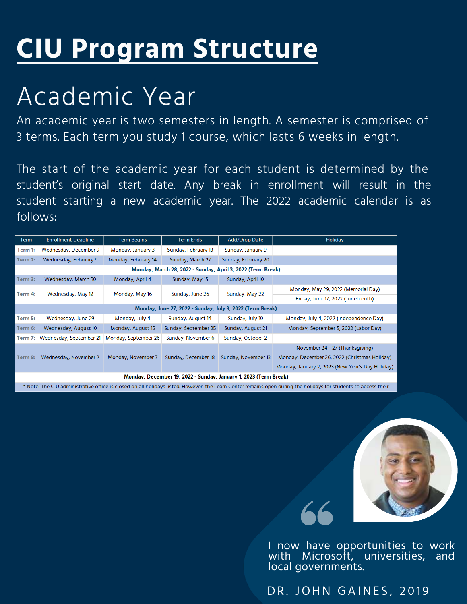# **CIU Program Structure**

# Academic Year

An academic year is two semesters in length. A semester is comprised of 3 terms. Each term you study 1 course, which lasts 6 weeks in length.

The start of the academic year for each student is determined by the student's original start date. Any break in enrollment will result in the student starting a new academic year. The 2022 academic calendar is as follows:

| <b>Term</b>                                                      | <b>Enrollment Deadline</b> | <b>Term Begins</b>   | <b>Term Ends</b>     | <b>Add/Drop Date</b> | Holiday                                          |  |  |  |  |
|------------------------------------------------------------------|----------------------------|----------------------|----------------------|----------------------|--------------------------------------------------|--|--|--|--|
| Term 1:                                                          | Wednesday, December 9      | Monday, January 3    | Sunday, February 13  | Sunday, January 9    |                                                  |  |  |  |  |
| Term 2:                                                          | Wednesday, February 9      | Monday, February 14  | Sunday, March 27     | Sunday, February 20  |                                                  |  |  |  |  |
| Monday, March 28, 2022 - Sunday, April 3, 2022 (Term Break)      |                            |                      |                      |                      |                                                  |  |  |  |  |
| Term 3:                                                          | Wednesday, March 30        | Monday, April 4      | Sunday, May 15       | Sunday, April 10     |                                                  |  |  |  |  |
| Term 4:                                                          | Wednesday, May 12          | Monday, May 16       | Sunday, June 26      | Sunday, May 22       | Monday, May 29, 2022 (Memorial Day)              |  |  |  |  |
|                                                                  |                            |                      |                      |                      | Friday, June 17, 2022 (Juneteenth)               |  |  |  |  |
| Monday, June 27, 2022 - Sunday, July 3, 2022 (Term Break)        |                            |                      |                      |                      |                                                  |  |  |  |  |
| Term 5:                                                          | Wednesday, June 29         | Monday, July 4       | Sunday, August 14    | Sunday, July 10      | Monday, July 4, 2022 (Independence Day)          |  |  |  |  |
| Term 6:                                                          | Wednesday, August 10       | Monday, August 15    | Sunday, September 25 | Sunday, August 21    | Monday, September 5, 2022 (Labor Day)            |  |  |  |  |
| Term 7:                                                          | Wednesday, September 21    | Monday, September 26 | Sunday, November 6   | Sunday, October 2    |                                                  |  |  |  |  |
|                                                                  |                            |                      |                      |                      | November 24 - 27 (Thanksgiving)                  |  |  |  |  |
| Term 8:                                                          | Wednesday, November 2      | Monday, November 7   | Sunday, December 18  | Sunday, November 13  | Monday, December 26, 2022 (Christmas Holiday)    |  |  |  |  |
|                                                                  |                            |                      |                      |                      | Monday, January 2, 2023 (New Year's Day Holiday) |  |  |  |  |
| Monday, December 19, 2022 - Sunday, January 1, 2023 (Term Break) |                            |                      |                      |                      |                                                  |  |  |  |  |

\* Note: The CIU administrative office is closed on all holidays listed. However, the Learn Center remains open during the holidays for students to access their



I now have opportunities to work with Microsoft, universities, local governments.

DR. JOHN GAINES, 2019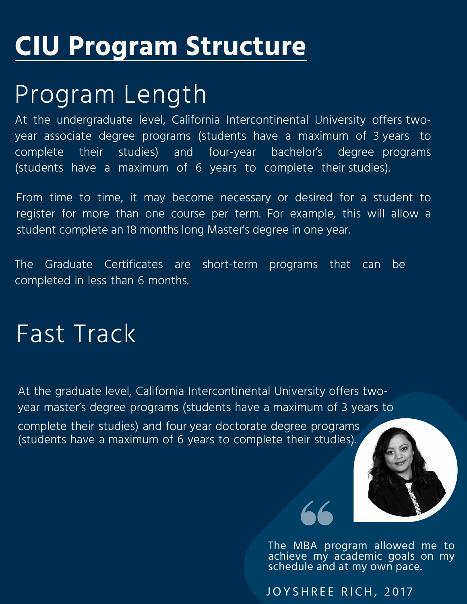# **CIU Program Structure**

#### Program Length

At the undergraduate level, California Intercontinental University offers twoyear associate degree programs (students have a maximum of 3 years to complete their studies) and four-year bachelor's degree programs (students have a maximum of 6 years to complete their studies).

From time to time, it may become necessary or desired for a student to register for more than one course per term. For example, this will allow a student complete an 18 months long Master's degree in one year.

The Graduate Certificates are short-term programs that can be completed in less than 6 months.

#### Fast Track

At the graduate level, California Intercontinental University offers twoyear master's degree programs (students have a maximum of 3 years to

complete their studies) and four year doctorate degree programs (students have a maximum of 6 years to complete their studies).



The MBA program allowed me to achieve my academic goals on my schedule and at my own pace.

JOYSHREE RICH, 2017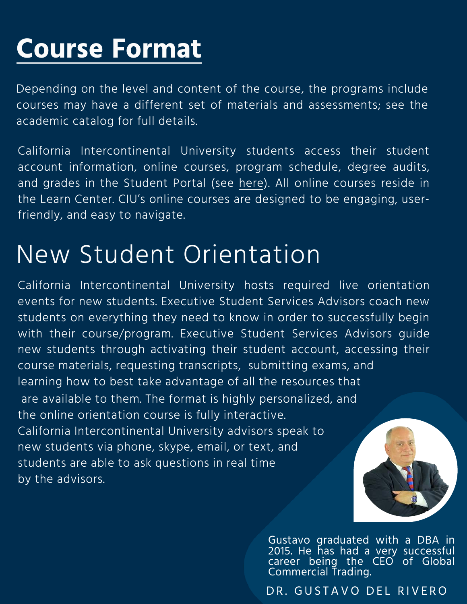# **Course Format**

Depending on the level and content of the course, the programs include courses may have a different set of materials and assessments; see the academic catalog for full details.

California Intercontinental University students access their student account information, online courses, program schedule, degree audits, and grades in the Student Portal (see here). All online courses reside in the Learn Center. CIU's online courses are designed to be engaging, userfriendly, and easy to navigate.

#### New Student Orientation

are available to them. The format is highly personalized, and the online orientation course is fully interactive. California Intercontinental University advisors speak to new students via phone, skype, email, or text, and students are able to ask questions in real time by the advisors. California Intercontinental University hosts required live orientation events for new students. Executive Student Services Advisors coach new students on everything they need to know in order to successfully begin with their course/program. Executive Student Services Advisors guide new students through activating their student account, accessing their course materials, requesting transcripts, submitting exams, and learning how to best take advantage of all the resources that



Gustavo graduated with a DBA in 2015. He has had a very successful career being the CEO of Global Commercial Trading.

DR. GUSTAVO DEL RIVERO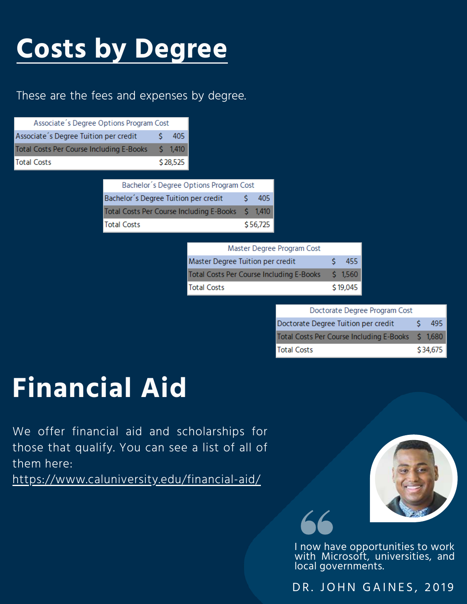# **Costs by Degree**

#### These are the fees and expenses by degree.

| Associate's Degree Options Program Cost         |  |           |  |  |
|-------------------------------------------------|--|-----------|--|--|
| Associate's Degree Tuition per credit           |  | 405       |  |  |
| <b>Total Costs Per Course Including E-Books</b> |  | $S$ 1.410 |  |  |
| <b>Total Costs</b>                              |  | \$28,525  |  |  |

| Bachelor's Degree Options Program Cost            |                 |          |  |
|---------------------------------------------------|-----------------|----------|--|
| Bachelor's Degree Tuition per credit              | $\sim$ S $\sim$ | -405     |  |
| Total Costs Per Course Including E-Books \$ 1,410 |                 |          |  |
| <b>Total Costs</b>                                |                 | \$56,725 |  |

| Master Degree Program Cost               |          |
|------------------------------------------|----------|
| Master Degree Tuition per credit         | 455      |
| Total Costs Per Course Including E-Books | 5, 1.560 |
| <b>Total Costs</b>                       | \$19,045 |

| Doctorate Degree Program Cost                     |          |
|---------------------------------------------------|----------|
| Doctorate Degree Tuition per credit               | 495      |
| Total Costs Per Course Including E-Books \$ 1,680 |          |
| Total Costs                                       | \$34,675 |

# **Financial Aid**

We offer financial aid and scholarships for those that qualify. You can see a list of all of them here:

<https://www.caluniversity.edu/financial-aid/>



I now have opportunities to work with Microsoft, universities, and local governments.

DR. JOHN GAINES, 2019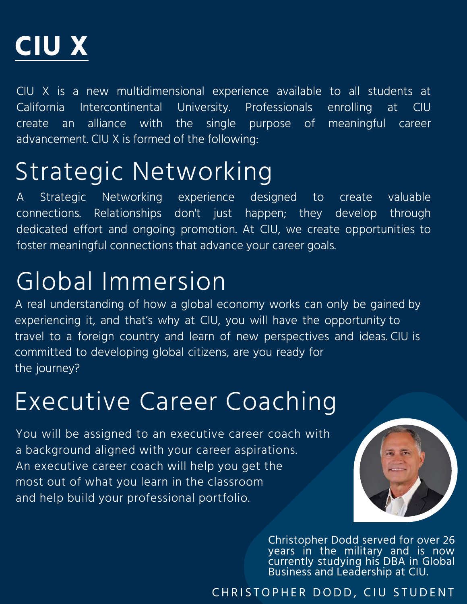

CIU X is a new multidimensional experience available to all students at California Intercontinental University. Professionals enrolling at CIU create an alliance with the single purpose of meaningful career advancement. CIU X is formed of the following:

#### Strategic Networking

A Strategic Networking experience designed to create valuable connections. Relationships don't just happen; they develop through dedicated effort and ongoing promotion. At CIU, we create opportunities to foster meaningful connections that advance your career goals.

## Global Immersion

A real understanding of how a global economy works can only be gained by experiencing it, and that's why at CIU, you will have the opportunity to travel to a foreign country and learn of new perspectives and ideas. CIU is committed to developing global citizens, are you ready for the journey?

#### Executive Career Coaching

You will be assigned to an executive career coach with a background aligned with your career aspirations. An executive career coach will help you get the most out of what you learn in the classroom and help build your professional portfolio.



Christopher Dodd served for over 26 years in the military and is now currently studying his DBA in Global Business and Leadership at CIU.

CHRISTOPHER DODD, CIU STUDENT